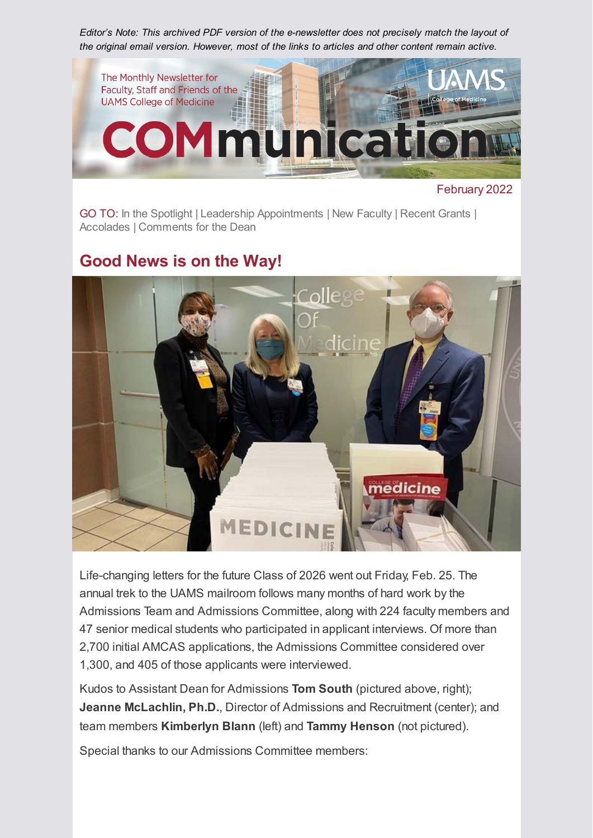*Editor's Note: This archived PDF version of the e-newsletter does not precisely match the layout of the original email version. However, most of the links to articles and other content remain active.*



February 2022

GO TO: [In the Spotlight](#page-1-0) | [Leadership Appointments](#page-1-1) | [New Faculty](#page-2-0) | [Recent Grants](#page-3-0) | [Accolades](#page-4-0) | [Comments for the Dean](#page-4-1)

## **Good News is on the Way!**



Life-changing letters for the future Class of 2026 went out Friday, Feb. 25. The annual trek to the UAMS mailroom follows many months of hard work by the Admissions Team and Admissions Committee, along with 224 faculty members and 47 senior medical students who participated in applicant interviews. Of more than 2,700 initial AMCAS applications, the Admissions Committee considered over 1,300, and 405 of those applicants were interviewed.

Kudos to Assistant Dean for Admissions **Tom South** (pictured above, right); **Jeanne McLachlin, Ph.D.**, Director of Admissions and Recruitment (center); and team members **Kimberlyn Blann** (left) and **Tammy Henson** (not pictured).

Special thanks to our Admissions Committee members: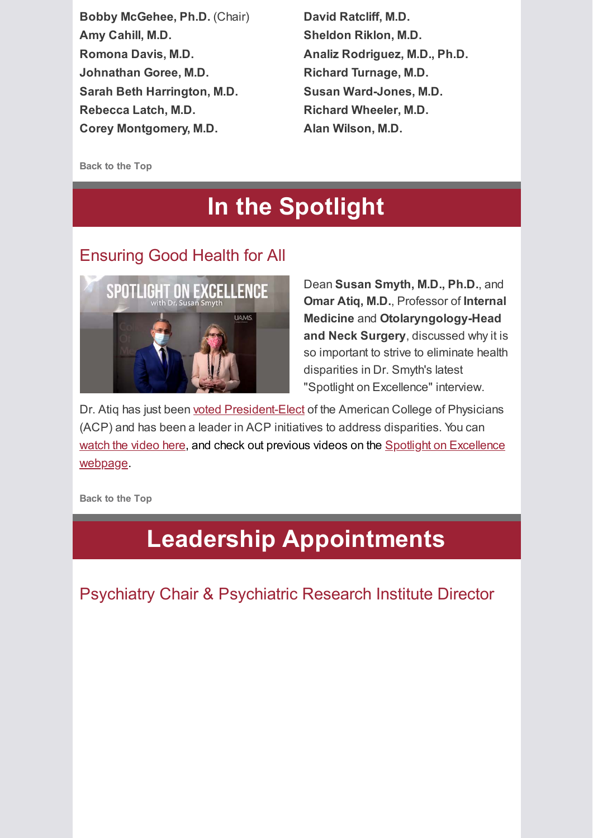**Bobby McGehee, Ph.D.** (Chair) **Amy Cahill, M.D. Romona Davis, M.D. Johnathan Goree, M.D. Sarah Beth Harrington, M.D. Rebecca Latch, M.D. Corey Montgomery, M.D.**

**David Ratcliff, M.D. Sheldon Riklon, M.D. Analiz Rodriguez, M.D., Ph.D. Richard Turnage, M.D. Susan Ward-Jones, M.D. Richard Wheeler, M.D. Alan Wilson, M.D.**

<span id="page-1-0"></span>**Back to the Top**

# **In the Spotlight**

### Ensuring Good Health for All



Dean **Susan Smyth, M.D., Ph.D.**, and **Omar Atiq, M.D.**, Professor of **Internal Medicine** and **Otolaryngology-Head and Neck Surgery**, discussed why it is so important to strive to eliminate health disparities in Dr. Smyth's latest "Spotlight on Excellence" interview.

Dr. Atiq has just been [voted President-Elect](https://news.uams.edu/2022/02/01/uams-omar-atiq-m-d-named-president-elect-of-american-college-of-physicians/) of the American College of Physicians (ACP) and has been a leader in ACP initiatives to address disparities. You can [watch the video here, and check out previous videos on the Spotlight on Excellence](https://medicine.uams.edu/about/features/spotlight-on-excellence/) webpage.

<span id="page-1-1"></span>**Back to the Top**

# **Leadership Appointments**

Psychiatry Chair & Psychiatric Research Institute Director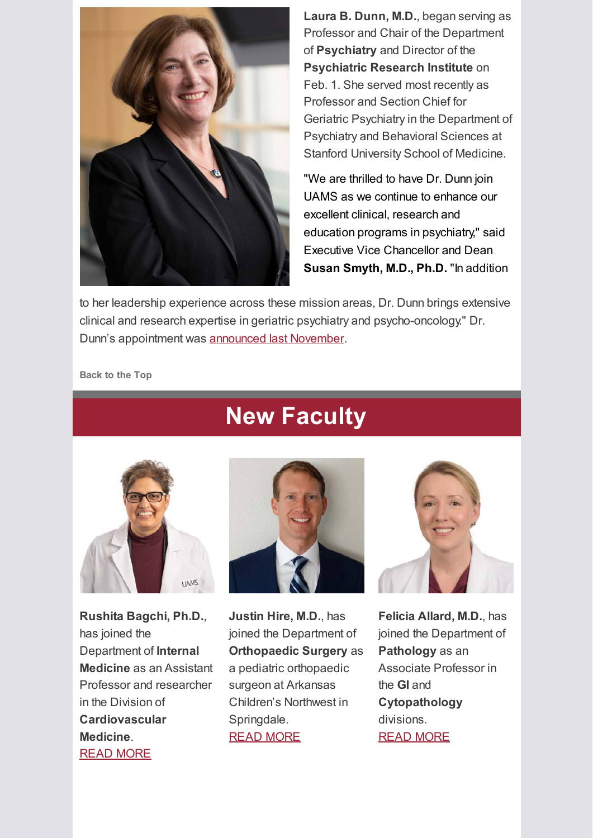

**Laura B. Dunn, M.D.**, began serving as Professor and Chair of the Department of **Psychiatry** and Director of the **Psychiatric Research Institute** on Feb. 1. She served most recently as Professor and Section Chief for Geriatric Psychiatry in the Department of Psychiatry and Behavioral Sciences at Stanford University School of Medicine.

"We are thrilled to have Dr. Dunn join UAMS as we continue to enhance our excellent clinical, research and education programs in psychiatry," said Executive Vice Chancellor and Dean **Susan Smyth, M.D., Ph.D.** "In addition

to her leadership experience across these mission areas, Dr. Dunn brings extensive clinical and research expertise in geriatric psychiatry and psycho-oncology." Dr. Dunn's appointment was [announced last November.](https://news.uams.edu/2021/11/02/uams-selects-laura-dunn-m-d-to-lead-department-of-psychiatry-psychiatric-research-institute/)

<span id="page-2-0"></span>**Back to the Top**



**Rushita Bagchi, Ph.D.**, has joined the Department of **Internal Medicine** as an Assistant Professor and researcher in the Division of **Cardiovascular Medicine**. [READ MORE](https://medicine.uams.edu/blog/recent-faculty-appointments-february-2022/#bagchi)

# **New Faculty**



**Justin Hire, M.D.**, has joined the Department of **Orthopaedic Surgery** as a pediatric orthopaedic surgeon at Arkansas Children's Northwest in Springdale. [READ MORE](https://medicine.uams.edu/blog/recent-faculty-appointments-february-2022/#hire)



**Felicia Allard, M.D.**, has joined the Department of **Pathology** as an Associate Professor in the **GI** and **Cytopathology** divisions. [READ MORE](https://medicine.uams.edu/blog/recent-faculty-appointments-february-2022/#allard)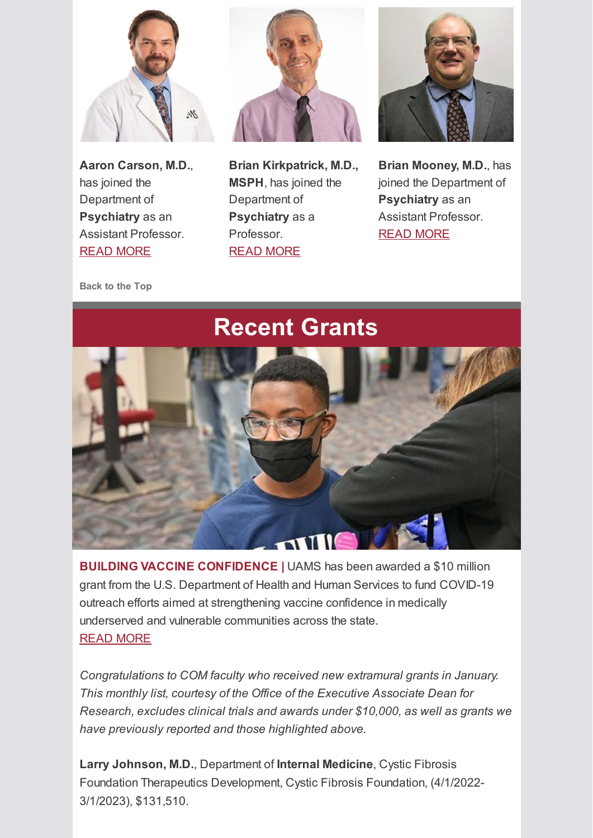

**Aaron Carson, M.D.**, has joined the Department of **Psychiatry** as an Assistant Professor. [READ MORE](https://medicine.uams.edu/blog/recent-faculty-appointments-february-2022/#carson)



**Brian Kirkpatrick, M.D., MSPH**, has joined the Department of **Psychiatry** as a Professor. [READ MORE](https://medicine.uams.edu/blog/recent-faculty-appointments-february-2022/#kirkpatrick)



**Brian Mooney, M.D.**, has joined the Department of **Psychiatry** as an Assistant Professor. [READ MORE](https://medicine.uams.edu/blog/recent-faculty-appointments-february-2022/#mooney)

<span id="page-3-0"></span>**Back to the Top**

# **Recent Grants**



**BUILDING VACCINE CONFIDENCE |** UAMS has been awarded a \$10 million grant from the U.S. Department of Health and Human Services to fund COVID-19 outreach efforts aimed at strengthening vaccine confidence in medically underserved and vulnerable communities across the state. [READ MORE](https://news.uams.edu/2022/02/15/uams-receives-10-million-to-expand-community-based-outreach-efforts-to-increase-covid-19-vaccinations/)

*Congratulations to COM faculty who received new extramural grants in January. This monthly list, courtesy of the Office of the Executive Associate Dean for Research, excludes clinical trials and awards under \$10,000, as well as grants we have previously reported and those highlighted above.*

**Larry Johnson, M.D.**, Department of **Internal Medicine**, Cystic Fibrosis Foundation Therapeutics Development, Cystic Fibrosis Foundation, (4/1/2022- 3/1/2023), \$131,510.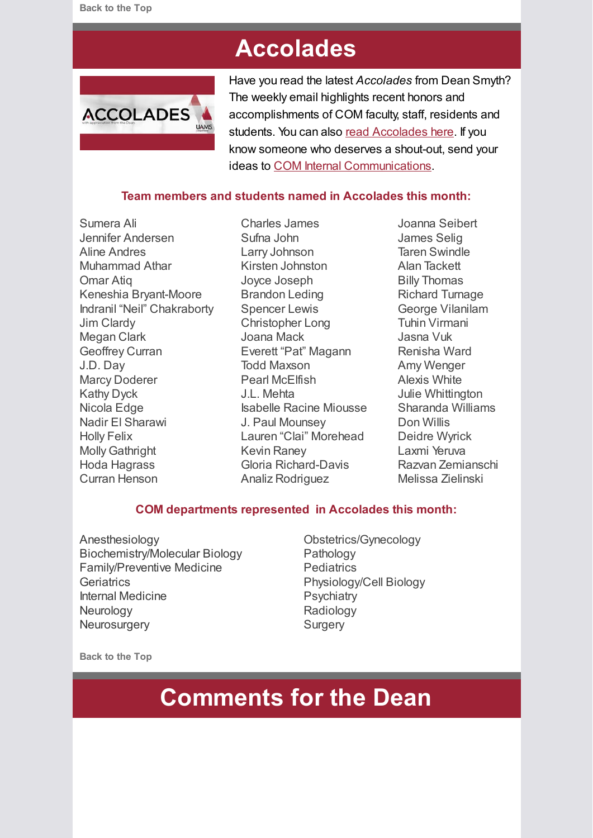# **Accolades**

<span id="page-4-0"></span>

Have you read the latest *Accolades* from Dean Smyth? The weekly email highlights recent honors and accomplishments of COM faculty, staff, residents and students. You can also [read Accolades here.](https://medicine.uams.edu/about-the-college/features/accolades/) If you know someone who deserves a shout-out, send your ideas to [COM Internal Communications.](mailto:cominternalcommunications@uams.edu)

### **Team members and students named in Accolades this month:**

Sumera Ali Jennifer Andersen Aline Andres Muhammad Athar Omar Atiq Keneshia Bryant-Moore Indranil "Neil" Chakraborty Jim Clardy Megan Clark Geoffrey Curran J.D. Day Marcy Doderer Kathy Dyck Nicola Edge Nadir El Sharawi Holly Felix Molly Gathright Hoda Hagrass Curran Henson

Charles James Sufna John Larry Johnson Kirsten Johnston Joyce Joseph Brandon Leding Spencer Lewis Christopher Long Joana Mack Everett "Pat" Magann Todd Maxson Pearl McElfish J.L. Mehta Isabelle Racine Miousse J. Paul Mounsey Lauren "Clai" Morehead Kevin Raney Gloria Richard-Davis Analiz Rodriguez

Joanna Seibert James Selig Taren Swindle Alan Tackett Billy Thomas Richard Turnage George Vilanilam Tuhin Virmani Jasna Vuk Renisha Ward Amy Wenger Alexis White Julie Whittington Sharanda Williams Don Willis Deidre Wyrick Laxmi Yeruva Razvan Zemianschi Melissa Zielinski

#### **COM departments represented in Accolades this month:**

- Anesthesiology Biochemistry/Molecular Biology Family/Preventive Medicine **Geriatrics** Internal Medicine **Neurology Neurosurgery**
- Obstetrics/Gynecology Pathology **Pediatrics** Physiology/Cell Biology **Psychiatry** Radiology **Surgery**

<span id="page-4-1"></span>**Back to the Top**

# **Comments for the Dean**